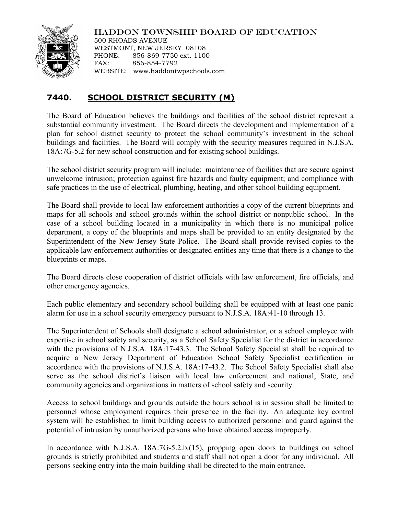

HADDON TOWNSHIP BOARD OF EDUCATION

500 RHOADS AVENUE WESTMONT, NEW JERSEY 08108 PHONE: 856-869-7750 ext. 1100 FAX: 856-854-7792 WEBSITE: www.haddontwpschools.com

## **7440. SCHOOL DISTRICT SECURITY (M)**

The Board of Education believes the buildings and facilities of the school district represent a substantial community investment. The Board directs the development and implementation of a plan for school district security to protect the school community's investment in the school buildings and facilities. The Board will comply with the security measures required in N.J.S.A. 18A:7G-5.2 for new school construction and for existing school buildings.

The school district security program will include: maintenance of facilities that are secure against unwelcome intrusion; protection against fire hazards and faulty equipment; and compliance with safe practices in the use of electrical, plumbing, heating, and other school building equipment.

The Board shall provide to local law enforcement authorities a copy of the current blueprints and maps for all schools and school grounds within the school district or nonpublic school. In the case of a school building located in a municipality in which there is no municipal police department, a copy of the blueprints and maps shall be provided to an entity designated by the Superintendent of the New Jersey State Police. The Board shall provide revised copies to the applicable law enforcement authorities or designated entities any time that there is a change to the blueprints or maps.

The Board directs close cooperation of district officials with law enforcement, fire officials, and other emergency agencies.

Each public elementary and secondary school building shall be equipped with at least one panic alarm for use in a school security emergency pursuant to N.J.S.A. 18A:41-10 through 13.

The Superintendent of Schools shall designate a school administrator, or a school employee with expertise in school safety and security, as a School Safety Specialist for the district in accordance with the provisions of N.J.S.A. 18A:17-43.3. The School Safety Specialist shall be required to acquire a New Jersey Department of Education School Safety Specialist certification in accordance with the provisions of N.J.S.A. 18A:17-43.2. The School Safety Specialist shall also serve as the school district's liaison with local law enforcement and national, State, and community agencies and organizations in matters of school safety and security.

Access to school buildings and grounds outside the hours school is in session shall be limited to personnel whose employment requires their presence in the facility. An adequate key control system will be established to limit building access to authorized personnel and guard against the potential of intrusion by unauthorized persons who have obtained access improperly.

In accordance with N.J.S.A. 18A:7G-5.2.b.(15), propping open doors to buildings on school grounds is strictly prohibited and students and staff shall not open a door for any individual. All persons seeking entry into the main building shall be directed to the main entrance.